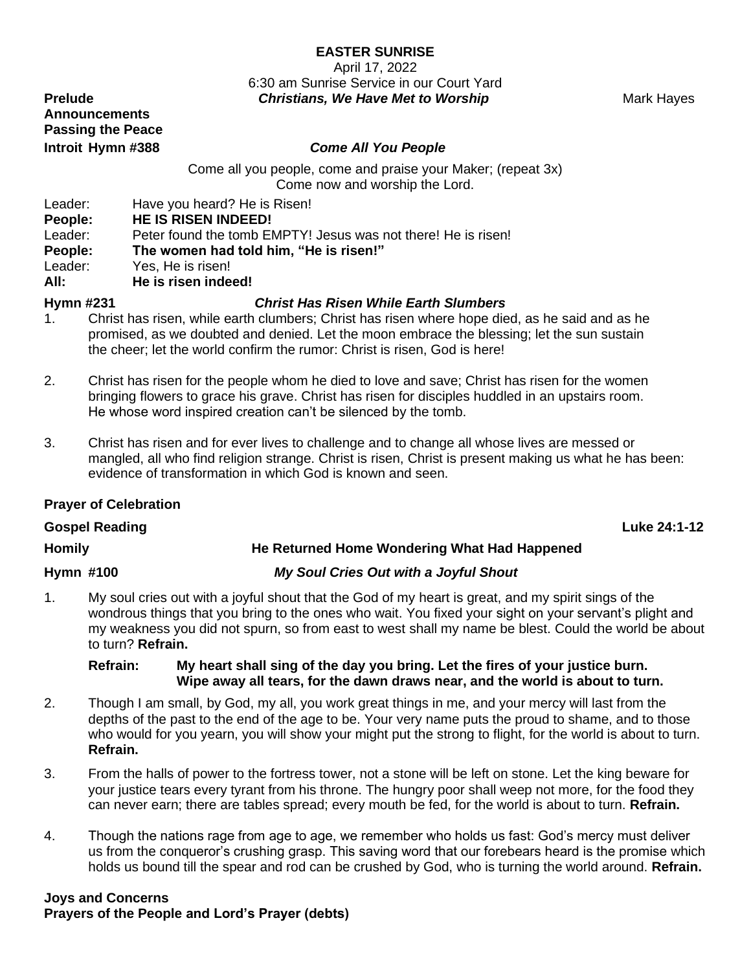# **EASTER SUNRISE**

April 17, 2022 6:30 am Sunrise Service in our Court Yard **Prelude**  The **Christians, We Have Met to Worship <b>Mark Hayes** Mark Hayes

**Announcements Passing the Peace**

### **Introit Hymn #388** *Come All You People*

Come all you people, come and praise your Maker; (repeat 3x) Come now and worship the Lord.

Leader: Have you heard? He is Risen!

**People: HE IS RISEN INDEED!**

Leader: Peter found the tomb EMPTY! Jesus was not there! He is risen!

**People: The women had told him, "He is risen!"**

Leader: Yes, He is risen!

**All: He is risen indeed!**

### **Hymn #231** *Christ Has Risen While Earth Slumbers*

- 1. Christ has risen, while earth clumbers; Christ has risen where hope died, as he said and as he promised, as we doubted and denied. Let the moon embrace the blessing; let the sun sustain the cheer; let the world confirm the rumor: Christ is risen, God is here!
- 2. Christ has risen for the people whom he died to love and save; Christ has risen for the women bringing flowers to grace his grave. Christ has risen for disciples huddled in an upstairs room. He whose word inspired creation can't be silenced by the tomb.
- 3. Christ has risen and for ever lives to challenge and to change all whose lives are messed or mangled, all who find religion strange. Christ is risen, Christ is present making us what he has been: evidence of transformation in which God is known and seen.

# **Prayer of Celebration**

**Gospel Reading Luke 24:1-12**

# **Homily He Returned Home Wondering What Had Happened**

# **Hymn #100** *My Soul Cries Out with a Joyful Shout*

1. My soul cries out with a joyful shout that the God of my heart is great, and my spirit sings of the wondrous things that you bring to the ones who wait. You fixed your sight on your servant's plight and my weakness you did not spurn, so from east to west shall my name be blest. Could the world be about to turn? **Refrain.**

### **Refrain: My heart shall sing of the day you bring. Let the fires of your justice burn. Wipe away all tears, for the dawn draws near, and the world is about to turn.**

- 2. Though I am small, by God, my all, you work great things in me, and your mercy will last from the depths of the past to the end of the age to be. Your very name puts the proud to shame, and to those who would for you yearn, you will show your might put the strong to flight, for the world is about to turn. **Refrain.**
- 3. From the halls of power to the fortress tower, not a stone will be left on stone. Let the king beware for your justice tears every tyrant from his throne. The hungry poor shall weep not more, for the food they can never earn; there are tables spread; every mouth be fed, for the world is about to turn. **Refrain.**
- 4. Though the nations rage from age to age, we remember who holds us fast: God's mercy must deliver us from the conqueror's crushing grasp. This saving word that our forebears heard is the promise which holds us bound till the spear and rod can be crushed by God, who is turning the world around. **Refrain.**

**Joys and Concerns Prayers of the People and Lord's Prayer (debts)**